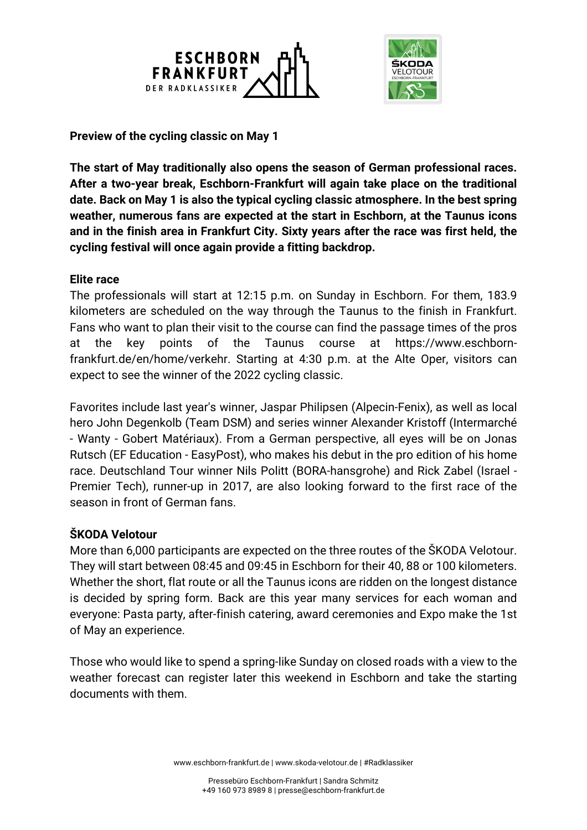



**Preview of the cycling classic on May 1**

**The start of May traditionally also opens the season of German professional races. After a two-year break, Eschborn-Frankfurt will again take place on the traditional date. Back on May 1 is also the typical cycling classic atmosphere. In the best spring weather, numerous fans are expected at the start in Eschborn, at the Taunus icons and in the finish area in Frankfurt City. Sixty years after the race was first held, the cycling festival will once again provide a fitting backdrop.**

## **Elite race**

The professionals will start at 12:15 p.m. on Sunday in Eschborn. For them, 183.9 kilometers are scheduled on the way through the Taunus to the finish in Frankfurt. Fans who want to plan their visit to the course can find the passage times of the pros at the key points of the Taunus course at https://www.eschbornfrankfurt.de/en/home/verkehr. Starting at 4:30 p.m. at the Alte Oper, visitors can expect to see the winner of the 2022 cycling classic.

Favorites include last year's winner, Jaspar Philipsen (Alpecin-Fenix), as well as local hero John Degenkolb (Team DSM) and series winner Alexander Kristoff (Intermarché - Wanty - Gobert Matériaux). From a German perspective, all eyes will be on Jonas Rutsch (EF Education - EasyPost), who makes his debut in the pro edition of his home race. Deutschland Tour winner Nils Politt (BORA-hansgrohe) and Rick Zabel (Israel - Premier Tech), runner-up in 2017, are also looking forward to the first race of the season in front of German fans.

## **ŠKODA Velotour**

More than 6,000 participants are expected on the three routes of the ŠKODA Velotour. They will start between 08:45 and 09:45 in Eschborn for their 40, 88 or 100 kilometers. Whether the short, flat route or all the Taunus icons are ridden on the longest distance is decided by spring form. Back are this year many services for each woman and everyone: Pasta party, after-finish catering, award ceremonies and Expo make the 1st of May an experience.

Those who would like to spend a spring-like Sunday on closed roads with a view to the weather forecast can register later this weekend in Eschborn and take the starting documents with them.

www.eschborn-frankfurt.de | www.skoda-velotour.de | #Radklassiker